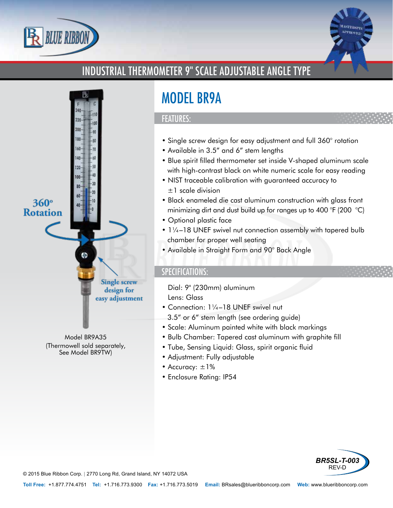



# INDUSTRIAL THERMOMETER 9" SCALE ADJUSTABLE ANGLE TYPE



Model BR9A35 (Thermowell sold separately, See Model BR9TW)

# MODEL BR9A

#### FEATURES:

- Single screw design for easy adjustment and full 360° rotation
- Available in 3.5" and 6" stem lengths
- Blue spirit filled thermometer set inside V-shaped aluminum scale with high-contrast black on white numeric scale for easy reading
- NIST traceable calibration with guaranteed accuracy to ±1 scale division
- Black enameled die cast aluminum construction with glass front minimizing dirt and dust build up for ranges up to 400 °F (200 °C)
- Optional plastic face
- 11/4-18 UNEF swivel nut connection assembly with tapered bulb chamber for proper well seating
- Available in Straight Form and 90° Back Angle

### SPECIFICATIONS:

- Dial: 9" (230mm) aluminum
- Lens: Glass
- Connection: 1¼–18 UNEF swivel nut 3.5" or 6" stem length (see ordering guide)
- Scale: Aluminum painted white with black markings
- Bulb Chamber: Tapered cast aluminum with graphite fill
- Tube, Sensing Liquid: Glass, spirit organic fluid
- Adjustment: Fully adjustable
- Accuracy: ±1%
- Enclosure Rating: IP54



© 2015 Blue Ribbon Corp. *<sup>|</sup>* 2770 Long Rd, Grand Island, NY 14072 USA